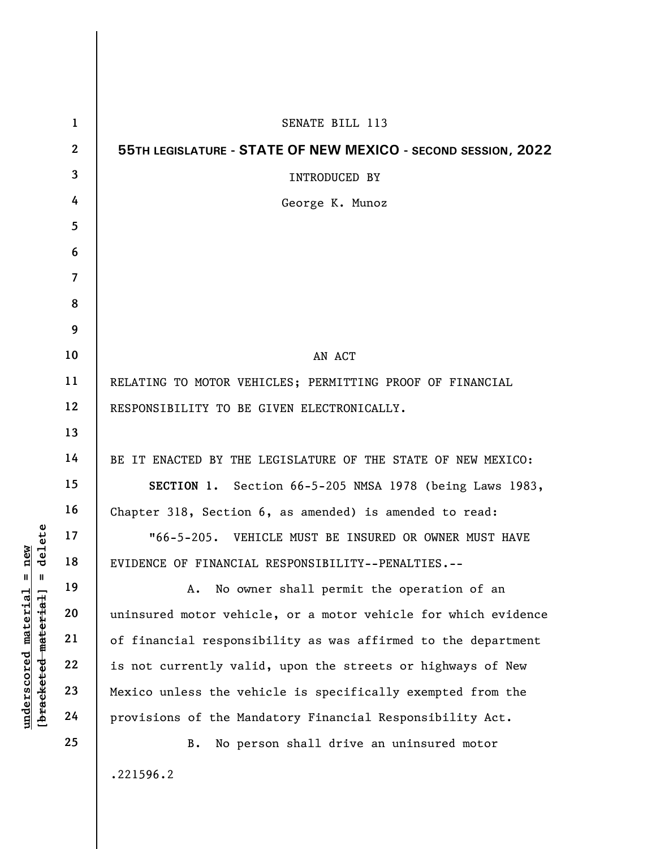|                                                                       | $\mathbf{1}$   | SENATE BILL 113                                                |
|-----------------------------------------------------------------------|----------------|----------------------------------------------------------------|
|                                                                       | $\mathbf{2}$   | 55TH LEGISLATURE - STATE OF NEW MEXICO - SECOND SESSION, 2022  |
|                                                                       | 3              | <b>INTRODUCED BY</b>                                           |
|                                                                       | 4              | George K. Munoz                                                |
|                                                                       | 5              |                                                                |
|                                                                       | 6              |                                                                |
|                                                                       | $\overline{7}$ |                                                                |
|                                                                       | 8              |                                                                |
|                                                                       | 9              |                                                                |
|                                                                       | 10             | AN ACT                                                         |
|                                                                       | 11             | RELATING TO MOTOR VEHICLES; PERMITTING PROOF OF FINANCIAL      |
|                                                                       | 12             | RESPONSIBILITY TO BE GIVEN ELECTRONICALLY.                     |
|                                                                       | 13             |                                                                |
|                                                                       | 14             | BE IT ENACTED BY THE LEGISLATURE OF THE STATE OF NEW MEXICO:   |
|                                                                       | 15             | SECTION 1. Section 66-5-205 NMSA 1978 (being Laws 1983,        |
|                                                                       | 16             | Chapter 318, Section 6, as amended) is amended to read:        |
| delete                                                                | 17             | "66-5-205. VEHICLE MUST BE INSURED OR OWNER MUST HAVE          |
| new<br>Ш<br>Ш                                                         | 18             | EVIDENCE OF FINANCIAL RESPONSIBILITY--PENALTIES.--             |
|                                                                       | 19             | No owner shall permit the operation of an<br>А.                |
| $\mathtt{material}$<br>[ <del>bracketed material</del><br>underscored | 20             | uninsured motor vehicle, or a motor vehicle for which evidence |
|                                                                       | 21             | of financial responsibility as was affirmed to the department  |
|                                                                       | 22             | is not currently valid, upon the streets or highways of New    |
|                                                                       | 23             | Mexico unless the vehicle is specifically exempted from the    |
|                                                                       | 24             | provisions of the Mandatory Financial Responsibility Act.      |
|                                                                       | 25             | No person shall drive an uninsured motor<br><b>B.</b>          |
|                                                                       |                | .221596.2                                                      |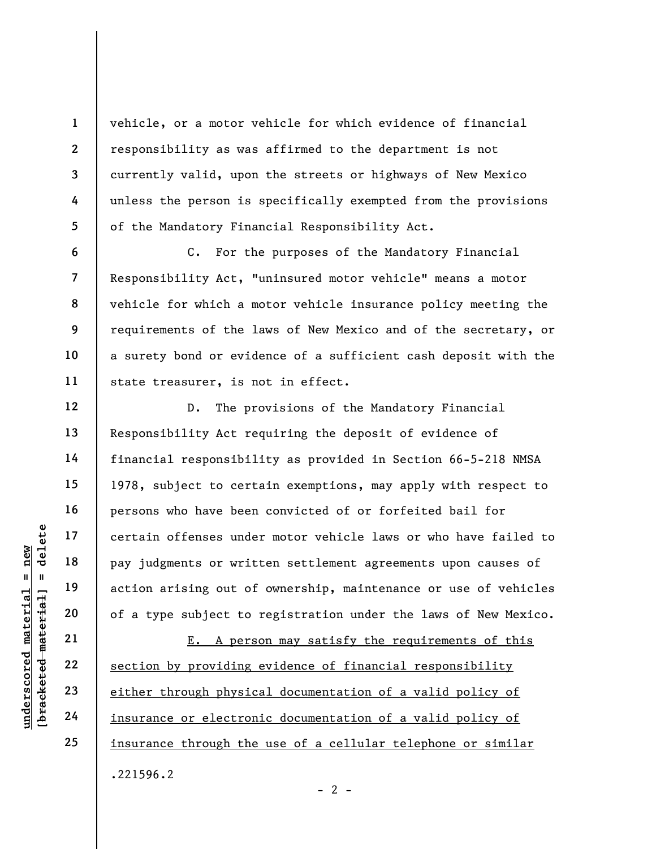vehicle, or a motor vehicle for which evidence of financial responsibility as was affirmed to the department is not currently valid, upon the streets or highways of New Mexico unless the person is specifically exempted from the provisions of the Mandatory Financial Responsibility Act.

C. For the purposes of the Mandatory Financial Responsibility Act, "uninsured motor vehicle" means a motor vehicle for which a motor vehicle insurance policy meeting the requirements of the laws of New Mexico and of the secretary, or a surety bond or evidence of a sufficient cash deposit with the state treasurer, is not in effect.

UN DE TRA PER FOR THE 18<br>
20<br>
21<br>
22<br>
23<br>
24<br>
24 24 25<br>
24 25<br>
24 25<br>
29 24 25<br>
29 24 25<br>
29 26 26<br>
29 26<br>
29 26<br>
29 26<br>
29 26<br>
29 27<br>
29 27<br>
29 27<br>
29 27<br>
29 27<br>
29 27<br>
29 27<br>
29 27<br>
29 27<br>
29 27<br>
29 27<br>
29 27<br>
29 27<br> D. The provisions of the Mandatory Financial Responsibility Act requiring the deposit of evidence of financial responsibility as provided in Section 66-5-218 NMSA 1978, subject to certain exemptions, may apply with respect to persons who have been convicted of or forfeited bail for certain offenses under motor vehicle laws or who have failed to pay judgments or written settlement agreements upon causes of action arising out of ownership, maintenance or use of vehicles of a type subject to registration under the laws of New Mexico.

E. A person may satisfy the requirements of this section by providing evidence of financial responsibility either through physical documentation of a valid policy of insurance or electronic documentation of a valid policy of insurance through the use of a cellular telephone or similar .221596.2

1

2

3

4

5

6

7

8

9

10

11

12

13

14

15

16

17

18

19

20

21

22

23

24

25

 $- 2 -$